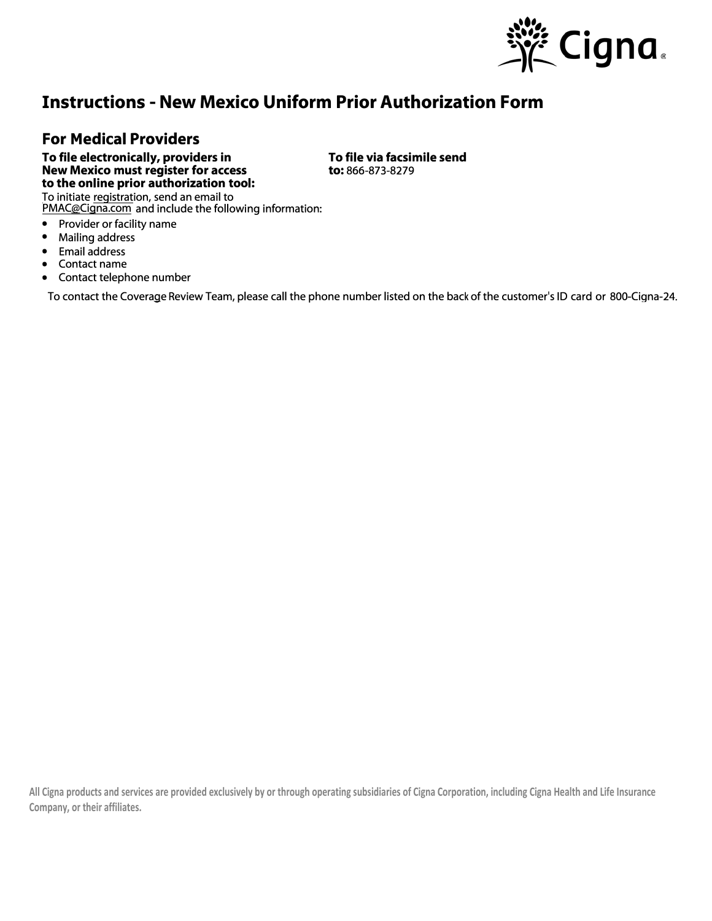

## **Instructions - New Mexico Uniform Prior Authorization Form**

## **For Medical Providers**

**To file electronically, providers in New Mexico must register for access to the online prior authorization tool:** 

To initiate registration, send an email to <u>PMAC@Cigna.com</u> and include the following information:

- Provider or facility name<br>• Mailing address
- Mailing address<br>• Email address
- Email address<br>• Contact name
- Contact name
- Contact telephone number

To contact the Coverage Review Team, please call the phone number listed on the back of the customer's ID card or 800-Cigna-24.

**All Cigna products and services are provided exclusively by or through operating subsidiaries of Cigna Corporation, including Cigna Health and Life Insurance Company, or their affiliates.**

## **To file via facsimile send to:** 866-873-8279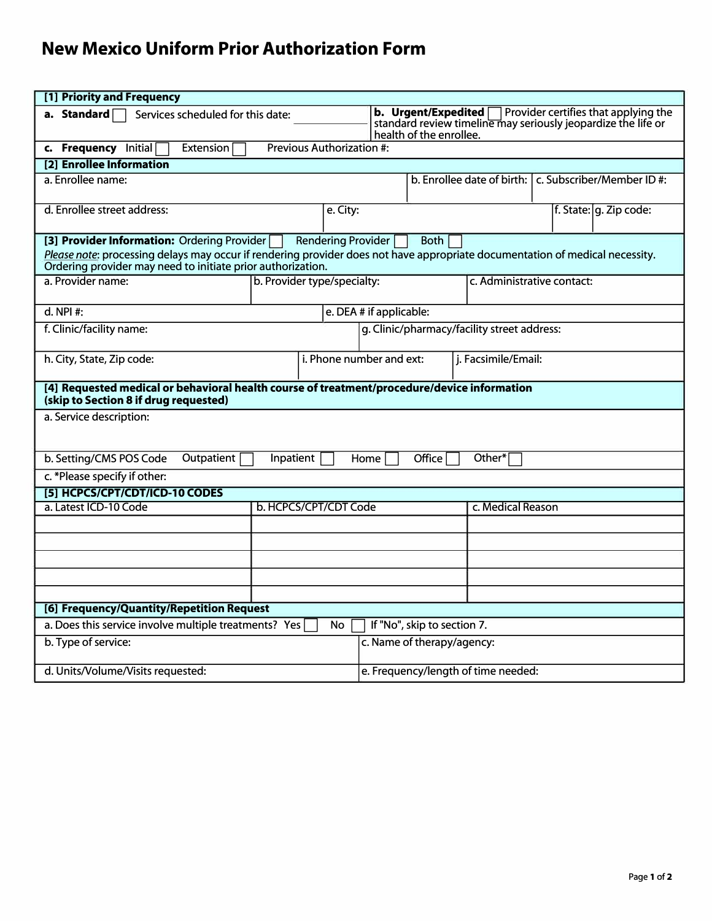## **New Mexico Uniform Prior Authorization Form**

| [1] Priority and Frequency                                                                                                                                                                                                                                                      |  |                                                 |                                                                                                                                                                    |                   |                        |  |  |
|---------------------------------------------------------------------------------------------------------------------------------------------------------------------------------------------------------------------------------------------------------------------------------|--|-------------------------------------------------|--------------------------------------------------------------------------------------------------------------------------------------------------------------------|-------------------|------------------------|--|--|
| a. Standard $\Box$<br>Services scheduled for this date:                                                                                                                                                                                                                         |  |                                                 | <b>b.</b> Urgent/Expedited $\Box$ Provider certifies that applying the<br>standard review timeline may seriously jeopardize the life or<br>health of the enrollee. |                   |                        |  |  |
| c. Frequency Initial<br>Previous Authorization #:<br>Extension                                                                                                                                                                                                                  |  |                                                 |                                                                                                                                                                    |                   |                        |  |  |
| [2] Enrollee Information                                                                                                                                                                                                                                                        |  |                                                 |                                                                                                                                                                    |                   |                        |  |  |
| a. Enrollee name:                                                                                                                                                                                                                                                               |  |                                                 | b. Enrollee date of birth:   c. Subscriber/Member ID #:                                                                                                            |                   |                        |  |  |
| d. Enrollee street address:                                                                                                                                                                                                                                                     |  | e. City:                                        |                                                                                                                                                                    |                   | f. State: g. Zip code: |  |  |
| Rendering Provider<br><b>Both</b><br>[3] Provider Information: Ordering Provider<br>Please note: processing delays may occur if rendering provider does not have appropriate documentation of medical necessity.<br>Ordering provider may need to initiate prior authorization. |  |                                                 |                                                                                                                                                                    |                   |                        |  |  |
| a. Provider name:<br>b. Provider type/specialty:                                                                                                                                                                                                                                |  |                                                 | c. Administrative contact:                                                                                                                                         |                   |                        |  |  |
| d. NPI #:<br>e. DEA # if applicable:                                                                                                                                                                                                                                            |  |                                                 |                                                                                                                                                                    |                   |                        |  |  |
| f. Clinic/facility name:                                                                                                                                                                                                                                                        |  |                                                 | g. Clinic/pharmacy/facility street address:                                                                                                                        |                   |                        |  |  |
| h. City, State, Zip code:                                                                                                                                                                                                                                                       |  | i. Phone number and ext:<br>j. Facsimile/Email: |                                                                                                                                                                    |                   |                        |  |  |
| [4] Requested medical or behavioral health course of treatment/procedure/device information<br>(skip to Section 8 if drug requested)                                                                                                                                            |  |                                                 |                                                                                                                                                                    |                   |                        |  |  |
| a. Service description:                                                                                                                                                                                                                                                         |  |                                                 |                                                                                                                                                                    |                   |                        |  |  |
| b. Setting/CMS POS Code<br>Outpatient<br>Office<br>Other*<br>Inpatient<br>Home                                                                                                                                                                                                  |  |                                                 |                                                                                                                                                                    |                   |                        |  |  |
| c. *Please specify if other:                                                                                                                                                                                                                                                    |  |                                                 |                                                                                                                                                                    |                   |                        |  |  |
| [5] HCPCS/CPT/CDT/ICD-10 CODES                                                                                                                                                                                                                                                  |  |                                                 |                                                                                                                                                                    |                   |                        |  |  |
| a. Latest ICD-10 Code<br>b. HCPCS/CPT/CDT Code                                                                                                                                                                                                                                  |  |                                                 |                                                                                                                                                                    | c. Medical Reason |                        |  |  |
|                                                                                                                                                                                                                                                                                 |  |                                                 |                                                                                                                                                                    |                   |                        |  |  |
|                                                                                                                                                                                                                                                                                 |  |                                                 |                                                                                                                                                                    |                   |                        |  |  |
|                                                                                                                                                                                                                                                                                 |  |                                                 |                                                                                                                                                                    |                   |                        |  |  |
|                                                                                                                                                                                                                                                                                 |  |                                                 |                                                                                                                                                                    |                   |                        |  |  |
|                                                                                                                                                                                                                                                                                 |  |                                                 |                                                                                                                                                                    |                   |                        |  |  |
| [6] Frequency/Quantity/Repetition Request                                                                                                                                                                                                                                       |  |                                                 |                                                                                                                                                                    |                   |                        |  |  |
| a. Does this service involve multiple treatments? Yes<br>If "No", skip to section 7.<br>No                                                                                                                                                                                      |  |                                                 |                                                                                                                                                                    |                   |                        |  |  |
| b. Type of service:                                                                                                                                                                                                                                                             |  | c. Name of therapy/agency:                      |                                                                                                                                                                    |                   |                        |  |  |
| d. Units/Volume/Visits requested:                                                                                                                                                                                                                                               |  |                                                 | e. Frequency/length of time needed:                                                                                                                                |                   |                        |  |  |